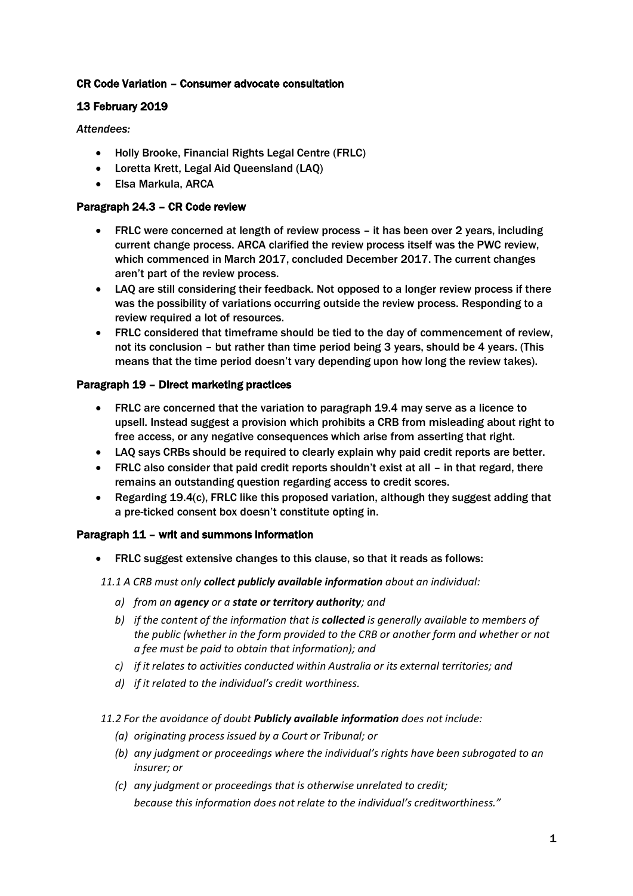## CR Code Variation – Consumer advocate consultation

# 13 February 2019

*Attendees:*

- Holly Brooke, Financial Rights Legal Centre (FRLC)
- Loretta Krett, Legal Aid Queensland (LAQ)
- Elsa Markula, ARCA

## Paragraph 24.3 – CR Code review

- FRLC were concerned at length of review process it has been over 2 years, including current change process. ARCA clarified the review process itself was the PWC review, which commenced in March 2017, concluded December 2017. The current changes aren't part of the review process.
- LAQ are still considering their feedback. Not opposed to a longer review process if there was the possibility of variations occurring outside the review process. Responding to a review required a lot of resources.
- FRLC considered that timeframe should be tied to the day of commencement of review, not its conclusion – but rather than time period being 3 years, should be 4 years. (This means that the time period doesn't vary depending upon how long the review takes).

### Paragraph 19 – Direct marketing practices

- FRLC are concerned that the variation to paragraph 19.4 may serve as a licence to upsell. Instead suggest a provision which prohibits a CRB from misleading about right to free access, or any negative consequences which arise from asserting that right.
- LAQ says CRBs should be required to clearly explain why paid credit reports are better.
- FRLC also consider that paid credit reports shouldn't exist at all in that regard, there remains an outstanding question regarding access to credit scores.
- Regarding 19.4(c), FRLC like this proposed variation, although they suggest adding that a pre-ticked consent box doesn't constitute opting in.

### Paragraph 11 – writ and summons information

• FRLC suggest extensive changes to this clause, so that it reads as follows:

*11.1 A CRB must only collect publicly available information about an individual:* 

- *a) from an agency or a state or territory authority; and*
- *b) if the content of the information that is collected is generally available to members of the public (whether in the form provided to the CRB or another form and whether or not a fee must be paid to obtain that information); and*
- *c) if it relates to activities conducted within Australia or its external territories; and*
- *d) if it related to the individual's credit worthiness.*

#### *11.2 For the avoidance of doubt Publicly available information does not include:*

- *(a) originating process issued by a Court or Tribunal; or*
- *(b) any judgment or proceedings where the individual's rights have been subrogated to an insurer; or*
- *(c) any judgment or proceedings that is otherwise unrelated to credit; because this information does not relate to the individual's creditworthiness."*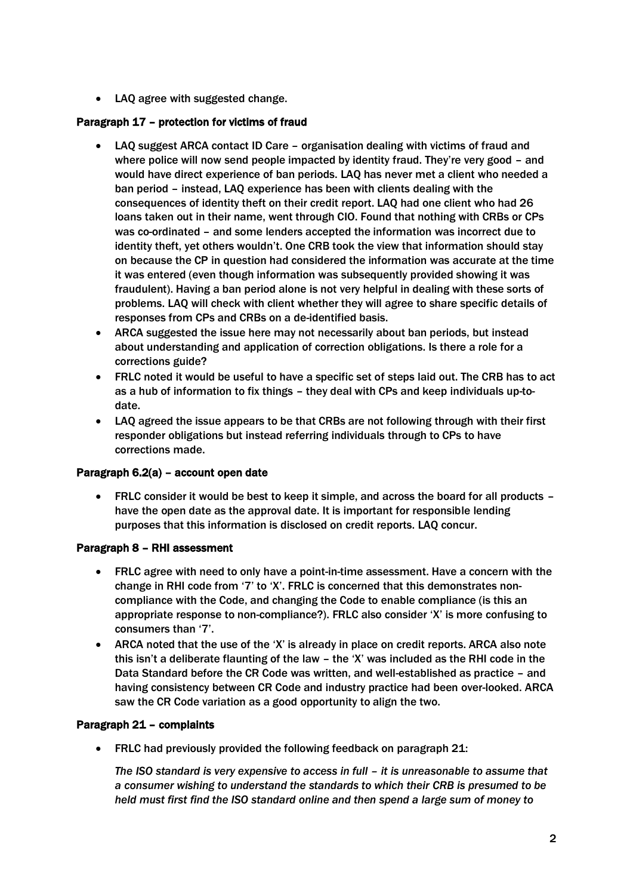• LAQ agree with suggested change.

# Paragraph 17 – protection for victims of fraud

- LAQ suggest ARCA contact ID Care organisation dealing with victims of fraud and where police will now send people impacted by identity fraud. They're very good – and would have direct experience of ban periods. LAQ has never met a client who needed a ban period – instead, LAQ experience has been with clients dealing with the consequences of identity theft on their credit report. LAQ had one client who had 26 loans taken out in their name, went through CIO. Found that nothing with CRBs or CPs was co-ordinated – and some lenders accepted the information was incorrect due to identity theft, yet others wouldn't. One CRB took the view that information should stay on because the CP in question had considered the information was accurate at the time it was entered (even though information was subsequently provided showing it was fraudulent). Having a ban period alone is not very helpful in dealing with these sorts of problems. LAQ will check with client whether they will agree to share specific details of responses from CPs and CRBs on a de-identified basis.
- ARCA suggested the issue here may not necessarily about ban periods, but instead about understanding and application of correction obligations. Is there a role for a corrections guide?
- FRLC noted it would be useful to have a specific set of steps laid out. The CRB has to act as a hub of information to fix things – they deal with CPs and keep individuals up-todate.
- LAQ agreed the issue appears to be that CRBs are not following through with their first responder obligations but instead referring individuals through to CPs to have corrections made.

### Paragraph 6.2(a) – account open date

• FRLC consider it would be best to keep it simple, and across the board for all products – have the open date as the approval date. It is important for responsible lending purposes that this information is disclosed on credit reports. LAQ concur.

#### Paragraph 8 – RHI assessment

- FRLC agree with need to only have a point-in-time assessment. Have a concern with the change in RHI code from '7' to 'X'. FRLC is concerned that this demonstrates noncompliance with the Code, and changing the Code to enable compliance (is this an appropriate response to non-compliance?). FRLC also consider 'X' is more confusing to consumers than '7'.
- ARCA noted that the use of the 'X' is already in place on credit reports. ARCA also note this isn't a deliberate flaunting of the law – the 'X' was included as the RHI code in the Data Standard before the CR Code was written, and well-established as practice – and having consistency between CR Code and industry practice had been over-looked. ARCA saw the CR Code variation as a good opportunity to align the two.

### Paragraph 21 – complaints

• FRLC had previously provided the following feedback on paragraph 21:

*The ISO standard is very expensive to access in full – it is unreasonable to assume that a consumer wishing to understand the standards to which their CRB is presumed to be held must first find the ISO standard online and then spend a large sum of money to*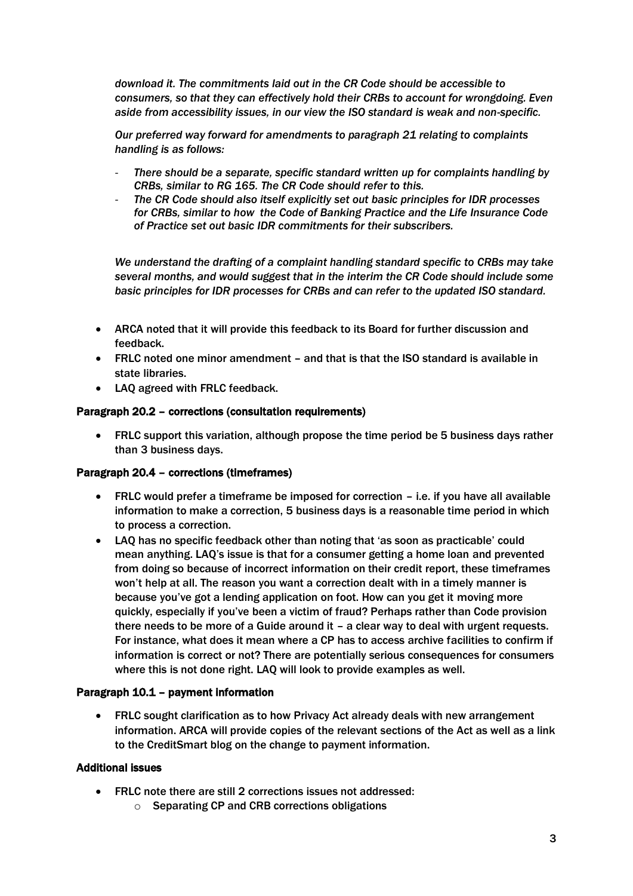*download it. The commitments laid out in the CR Code should be accessible to consumers, so that they can effectively hold their CRBs to account for wrongdoing. Even aside from accessibility issues, in our view the ISO standard is weak and non-specific.*

*Our preferred way forward for amendments to paragraph 21 relating to complaints handling is as follows:*

- *There should be a separate, specific standard written up for complaints handling by CRBs, similar to RG 165. The CR Code should refer to this.*
- *The CR Code should also itself explicitly set out basic principles for IDR processes for CRBs, similar to how the Code of Banking Practice and the Life Insurance Code of Practice set out basic IDR commitments for their subscribers.*

*We understand the drafting of a complaint handling standard specific to CRBs may take several months, and would suggest that in the interim the CR Code should include some basic principles for IDR processes for CRBs and can refer to the updated ISO standard.*

- ARCA noted that it will provide this feedback to its Board for further discussion and feedback.
- FRLC noted one minor amendment and that is that the ISO standard is available in state libraries.
- LAQ agreed with FRLC feedback.

#### Paragraph 20.2 – corrections (consultation requirements)

• FRLC support this variation, although propose the time period be 5 business days rather than 3 business days.

#### Paragraph 20.4 – corrections (timeframes)

- FRLC would prefer a timeframe be imposed for correction i.e. if you have all available information to make a correction, 5 business days is a reasonable time period in which to process a correction.
- LAQ has no specific feedback other than noting that 'as soon as practicable' could mean anything. LAQ's issue is that for a consumer getting a home loan and prevented from doing so because of incorrect information on their credit report, these timeframes won't help at all. The reason you want a correction dealt with in a timely manner is because you've got a lending application on foot. How can you get it moving more quickly, especially if you've been a victim of fraud? Perhaps rather than Code provision there needs to be more of a Guide around it – a clear way to deal with urgent requests. For instance, what does it mean where a CP has to access archive facilities to confirm if information is correct or not? There are potentially serious consequences for consumers where this is not done right. LAQ will look to provide examples as well.

#### Paragraph 10.1 – payment information

• FRLC sought clarification as to how Privacy Act already deals with new arrangement information. ARCA will provide copies of the relevant sections of the Act as well as a link to the CreditSmart blog on the change to payment information.

#### Additional issues

- FRLC note there are still 2 corrections issues not addressed:
	- o Separating CP and CRB corrections obligations